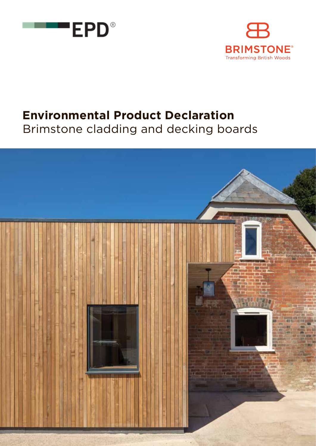



# **Environmental Product Declaration**

Brimstone cladding and decking boards

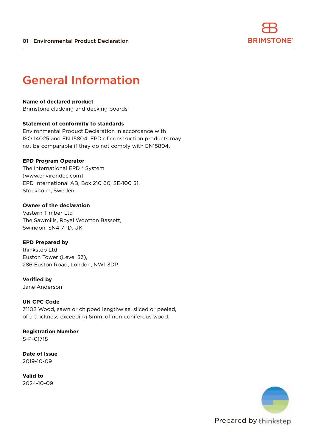

### General Information

#### **Name of declared product**

Brimstone cladding and decking boards

#### **Statement of conformity to standards**

Environmental Product Declaration in accordance with ISO 14025 and EN 15804. EPD of construction products may not be comparable if they do not comply with EN15804.

#### **EPD Program Operator**

The International EPD ® System (www.environdec.com) EPD International AB, Box 210 60, SE-100 31, Stockholm, Sweden.

#### **Owner of the declaration**

Vastern Timber Ltd The Sawmills, Royal Wootton Bassett, Swindon, SN4 7PD, UK

#### **EPD Prepared by**

thinkstep Ltd Euston Tower (Level 33), 286 Euston Road, London, NW1 3DP

**Verified by** Jane Anderson

#### **UN CPC Code**

31102 Wood, sawn or chipped lengthwise, sliced or peeled, of a thickness exceeding 6mm, of non-coniferous wood.

#### **Registration Number**

S-P-01718

**Date of Issue** 2019-10-09

**Valid to** 2024-10-09

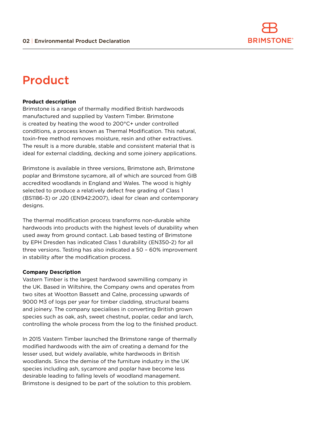

### Product

#### **Product description**

Brimstone is a range of thermally modified British hardwoods manufactured and supplied by Vastern Timber. Brimstone is created by heating the wood to 200°C+ under controlled conditions, a process known as Thermal Modification. This natural, toxin-free method removes moisture, resin and other extractives. The result is a more durable, stable and consistent material that is ideal for external cladding, decking and some joinery applications.

Brimstone is available in three versions, Brimstone ash, Brimstone poplar and Brimstone sycamore, all of which are sourced from GIB accredited woodlands in England and Wales. The wood is highly selected to produce a relatively defect free grading of Class 1 (BS1186-3) or J20 (EN942:2007), ideal for clean and contemporary designs.

The thermal modification process transforms non-durable white hardwoods into products with the highest levels of durability when used away from ground contact. Lab based testing of Brimstone by EPH Dresden has indicated Class 1 durability (EN350-2) for all three versions. Testing has also indicated a 50 – 60% improvement in stability after the modification process.

#### **Company Description**

Vastern Timber is the largest hardwood sawmilling company in the UK. Based in Wiltshire, the Company owns and operates from two sites at Wootton Bassett and Calne, processing upwards of 9000 M3 of logs per year for timber cladding, structural beams and joinery. The company specialises in converting British grown species such as oak, ash, sweet chestnut, poplar, cedar and larch, controlling the whole process from the log to the finished product.

In 2015 Vastern Timber launched the Brimstone range of thermally modified hardwoods with the aim of creating a demand for the lesser used, but widely available, white hardwoods in British woodlands. Since the demise of the furniture industry in the UK species including ash, sycamore and poplar have become less desirable leading to falling levels of woodland management. Brimstone is designed to be part of the solution to this problem.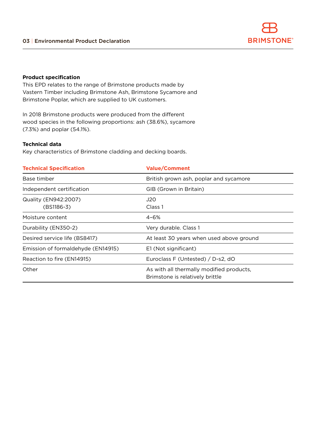

#### **Product specification**

This EPD relates to the range of Brimstone products made by Vastern Timber including Brimstone Ash, Brimstone Sycamore and Brimstone Poplar, which are supplied to UK customers.

In 2018 Brimstone products were produced from the different wood species in the following proportions: ash (38.6%), sycamore (7.3%) and poplar (54.1%).

#### **Technical data**

Key characteristics of Brimstone cladding and decking boards.

| <b>Technical Specification</b>     | <b>Value/Comment</b>                                                        |
|------------------------------------|-----------------------------------------------------------------------------|
| Base timber                        | British grown ash, poplar and sycamore                                      |
| Independent certification          | GIB (Grown in Britain)                                                      |
| Quality (EN942:2007)               | J20                                                                         |
| (BS1186-3)                         | Class 1                                                                     |
| Moisture content                   | 4-6%                                                                        |
| Durability (EN350-2)               | Very durable. Class 1                                                       |
| Desired service life (BS8417)      | At least 30 years when used above ground                                    |
| Emission of formaldehyde (EN14915) | E1 (Not significant)                                                        |
| Reaction to fire (EN14915)         | Euroclass F (Untested) / D-s2, dO                                           |
| Other                              | As with all thermally modified products,<br>Brimstone is relatively brittle |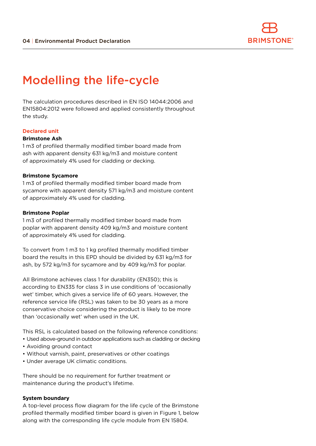

### Modelling the life-cycle

The calculation procedures described in EN ISO 14044:2006 and EN15804:2012 were followed and applied consistently throughout the study.

#### **Declared unit**

#### **Brimstone Ash**

1 m3 of profiled thermally modified timber board made from ash with apparent density 631 kg/m3 and moisture content of approximately 4% used for cladding or decking.

#### **Brimstone Sycamore**

1 m3 of profiled thermally modified timber board made from sycamore with apparent density 571 kg/m3 and moisture content of approximately 4% used for cladding.

#### **Brimstone Poplar**

1 m3 of profiled thermally modified timber board made from poplar with apparent density 409 kg/m3 and moisture content of approximately 4% used for cladding.

To convert from 1 m3 to 1 kg profiled thermally modified timber board the results in this EPD should be divided by 631 kg/m3 for ash, by 572 kg/m3 for sycamore and by 409 kg/m3 for poplar.

All Brimstone achieves class 1 for durability (EN350); this is according to EN335 for class 3 in use conditions of 'occasionally wet' timber, which gives a service life of 60 years. However, the reference service life (RSL) was taken to be 30 years as a more conservative choice considering the product is likely to be more than 'occasionally wet' when used in the UK.

This RSL is calculated based on the following reference conditions:

- Used above-ground in outdoor applications such as cladding or decking
- Avoiding ground contact
- Without varnish, paint, preservatives or other coatings
- Under average UK climatic conditions.

There should be no requirement for further treatment or maintenance during the product's lifetime.

#### **System boundary**

A top-level process flow diagram for the life cycle of the Brimstone profiled thermally modified timber board is given in Figure 1, below along with the corresponding life cycle module from EN 15804.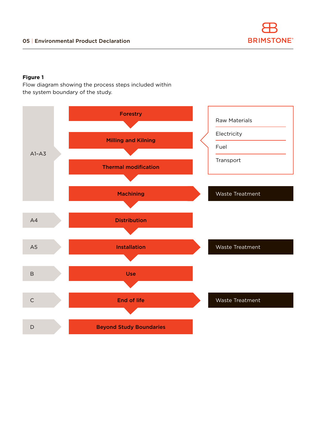#### **Figure 1**

Flow diagram showing the process steps included within the system boundary of the study.

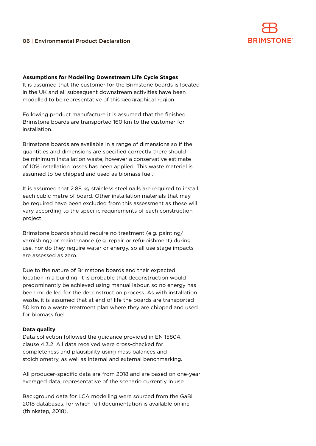

#### **Assumptions for Modelling Downstream Life Cycle Stages**

It is assumed that the customer for the Brimstone boards is located in the UK and all subsequent downstream activities have been modelled to be representative of this geographical region.

Following product manufacture it is assumed that the finished Brimstone boards are transported 160 km to the customer for installation.

Brimstone boards are available in a range of dimensions so if the quantities and dimensions are specified correctly there should be minimum installation waste, however a conservative estimate of 10% installation losses has been applied. This waste material is assumed to be chipped and used as biomass fuel.

It is assumed that 2.88 kg stainless steel nails are required to install each cubic metre of board. Other installation materials that may be required have been excluded from this assessment as these will vary according to the specific requirements of each construction project.

Brimstone boards should require no treatment (e.g. painting/ varnishing) or maintenance (e.g. repair or refurbishment) during use, nor do they require water or energy, so all use stage impacts are assessed as zero.

Due to the nature of Brimstone boards and their expected location in a building, it is probable that deconstruction would predominantly be achieved using manual labour, so no energy has been modelled for the deconstruction process. As with installation waste, it is assumed that at end of life the boards are transported 50 km to a waste treatment plan where they are chipped and used for biomass fuel.

#### **Data quality**

Data collection followed the guidance provided in EN 15804, clause 4.3.2. All data received were cross-checked for completeness and plausibility using mass balances and stoichiometry, as well as internal and external benchmarking.

All producer-specific data are from 2018 and are based on one-year averaged data, representative of the scenario currently in use.

Background data for LCA modelling were sourced from the GaBi 2018 databases, for which full documentation is available online (thinkstep, 2018).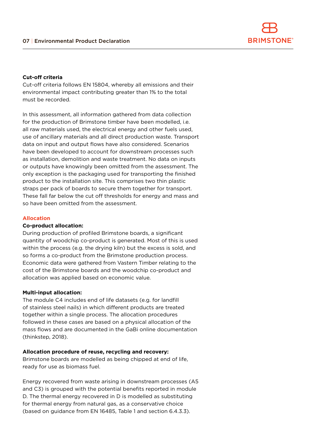

#### **Cut-off criteria**

Cut-off criteria follows EN 15804, whereby all emissions and their environmental impact contributing greater than 1% to the total must be recorded.

In this assessment, all information gathered from data collection for the production of Brimstone timber have been modelled, i.e. all raw materials used, the electrical energy and other fuels used, use of ancillary materials and all direct production waste. Transport data on input and output flows have also considered. Scenarios have been developed to account for downstream processes such as installation, demolition and waste treatment. No data on inputs or outputs have knowingly been omitted from the assessment. The only exception is the packaging used for transporting the finished product to the installation site. This comprises two thin plastic straps per pack of boards to secure them together for transport. These fall far below the cut off thresholds for energy and mass and so have been omitted from the assessment.

#### **Allocation**

#### **Co-product allocation:**

During production of profiled Brimstone boards, a significant quantity of woodchip co-product is generated. Most of this is used within the process (e.g. the drying kiln) but the excess is sold, and so forms a co-product from the Brimstone production process. Economic data were gathered from Vastern Timber relating to the cost of the Brimstone boards and the woodchip co-product and allocation was applied based on economic value.

#### **Multi-input allocation:**

The module C4 includes end of life datasets (e.g. for landfill of stainless steel nails) in which different products are treated together within a single process. The allocation procedures followed in these cases are based on a physical allocation of the mass flows and are documented in the GaBi online documentation (thinkstep, 2018).

#### **Allocation procedure of reuse, recycling and recovery:**

Brimstone boards are modelled as being chipped at end of life, ready for use as biomass fuel.

Energy recovered from waste arising in downstream processes (A5 and C3) is grouped with the potential benefits reported in module D. The thermal energy recovered in D is modelled as substituting for thermal energy from natural gas, as a conservative choice (based on guidance from EN 16485, Table 1 and section 6.4.3.3).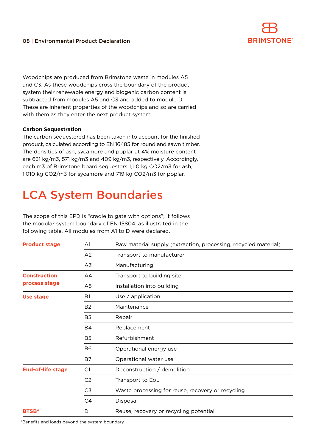

Woodchips are produced from Brimstone waste in modules A5 and C3. As these woodchips cross the boundary of the product system their renewable energy and biogenic carbon content is subtracted from modules A5 and C3 and added to module D. These are inherent properties of the woodchips and so are carried with them as they enter the next product system.

#### **Carbon Sequestration**

The carbon sequestered has been taken into account for the finished product, calculated according to EN 16485 for round and sawn timber. The densities of ash, sycamore and poplar at 4% moisture content are 631 kg/m3, 571 kg/m3 and 409 kg/m3, respectively. Accordingly, each m3 of Brimstone board sequesters 1,110 kg CO2/m3 for ash, 1,010 kg CO2/m3 for sycamore and 719 kg CO2/m3 for poplar.

## LCA System Boundaries

The scope of this EPD is "cradle to gate with options"; it follows the modular system boundary of EN 15804, as illustrated in the following table. All modules from A1 to D were declared.

| <b>Product stage</b><br>A <sub>1</sub><br>Raw material supply (extraction, processing, recycled material) |                |                                                   |  |  |  |  |  |
|-----------------------------------------------------------------------------------------------------------|----------------|---------------------------------------------------|--|--|--|--|--|
|                                                                                                           | A2             | Transport to manufacturer                         |  |  |  |  |  |
|                                                                                                           | A3             | Manufacturing                                     |  |  |  |  |  |
| <b>Construction</b>                                                                                       | A4             | Transport to building site                        |  |  |  |  |  |
| process stage                                                                                             | A5             | Installation into building                        |  |  |  |  |  |
| Use stage                                                                                                 | B <sub>1</sub> | Use $/$ application                               |  |  |  |  |  |
|                                                                                                           | B <sub>2</sub> | Maintenance                                       |  |  |  |  |  |
|                                                                                                           | B3             | Repair                                            |  |  |  |  |  |
|                                                                                                           | <b>B4</b>      | Replacement                                       |  |  |  |  |  |
|                                                                                                           | <b>B5</b>      | Refurbishment                                     |  |  |  |  |  |
|                                                                                                           | <b>B6</b>      | Operational energy use                            |  |  |  |  |  |
|                                                                                                           | B7             | Operational water use                             |  |  |  |  |  |
| <b>End-of-life stage</b>                                                                                  | C1             | Deconstruction / demolition                       |  |  |  |  |  |
|                                                                                                           | C <sub>2</sub> | Transport to EoL                                  |  |  |  |  |  |
|                                                                                                           | C <sub>3</sub> | Waste processing for reuse, recovery or recycling |  |  |  |  |  |
|                                                                                                           | C <sub>4</sub> | Disposal                                          |  |  |  |  |  |
| <b>BTSB*</b>                                                                                              | D              | Reuse, recovery or recycling potential            |  |  |  |  |  |

\*Benefits and loads beyond the system boundary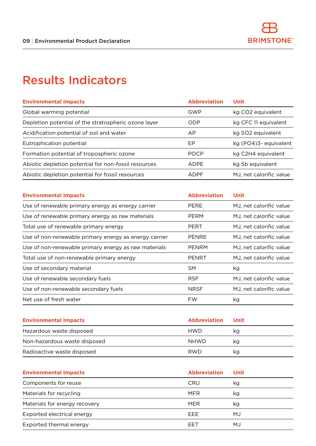## Results Indicators

| <b>Environmental Impacts</b>                         | <b>Abbreviation</b> | <b>Unit</b>             |
|------------------------------------------------------|---------------------|-------------------------|
| Global warming potential                             | GWP                 | kg CO2 equivalent       |
| Depletion potential of the stratospheric ozone layer | ODP                 | kg CFC 11 equivalent    |
| Acidification potential of soil and water            | AP                  | kg SO2 equivalent       |
| Eutrophication potential                             | ΕP                  | kg (PO4)3-equivalent    |
| Formation potential of tropospheric ozone            | <b>POCP</b>         | kg C2H4 equivalent      |
| Abiotic depletion potential for non-fossil resources | ADPF                | kg Sb equivalent        |
| Abiotic depletion potential for fossil resources     | <b>ADPF</b>         | MJ, net calorific value |

| <b>Environmental Impacts</b>                          | <b>Abbreviation</b> | Unit                    |
|-------------------------------------------------------|---------------------|-------------------------|
| Use of renewable primary energy as energy carrier     | PERE                | MJ, net calorific value |
| Use of renewable primary energy as raw materials      | <b>PERM</b>         | MJ, net calorific value |
| Total use of renewable primary energy                 | <b>PERT</b>         | MJ, net calorific value |
| Use of non-renewable primary energy as energy carrier | <b>PENRE</b>        | MJ, net calorific value |
| Use of non-renewable primary energy as raw materials  | <b>PENRM</b>        | MJ, net calorific value |
| Total use of non-renewable primary energy             | <b>PENRT</b>        | MJ, net calorific value |
| Use of secondary material                             | <b>SM</b>           | kg                      |
| Use of renewable secondary fuels                      | <b>RSF</b>          | MJ, net calorific value |
| Use of non-renewable secondary fuels                  | <b>NRSF</b>         | MJ, net calorific value |
| Net use of fresh water                                | <b>FW</b>           | kg                      |

| <b>Environmental Impacts</b> | <b>Abbreviation</b> | Unit |
|------------------------------|---------------------|------|
| Hazardous waste disposed     | <b>HWD</b>          | ka   |
| Non-hazardous waste disposed | <b>NHWD</b>         | ka   |
| Radioactive waste disposed   | <b>RWD</b>          | κq   |

| <b>Environmental Impacts</b>  | <b>Abbreviation</b> | Unit |
|-------------------------------|---------------------|------|
| Components for reuse          | <b>CRU</b>          | kg   |
| Materials for recycling       | <b>MFR</b>          | kg   |
| Materials for energy recovery | <b>MER</b>          | kg   |
| Exported electrical energy    | <b>FFF</b>          | MJ   |
| Exported thermal energy       | FFT                 | MJ   |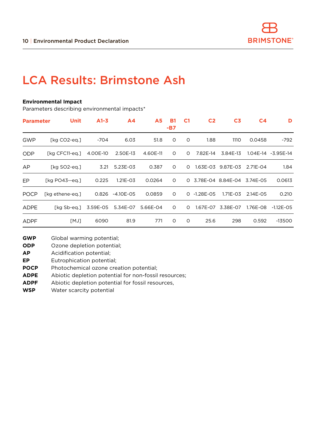### LCA Results: Brimstone Ash

#### **Environmental Impact**

Parameters describing environmental impacts\*

| <b>Parameter</b> | <b>Unit</b>       | $A1-3$   | A <sub>4</sub> | <b>A5</b> | <b>B1</b><br>-B7 | C <sub>1</sub> | C <sub>2</sub> | C <sub>3</sub>    | C <sub>4</sub> | D                     |
|------------------|-------------------|----------|----------------|-----------|------------------|----------------|----------------|-------------------|----------------|-----------------------|
| <b>GWP</b>       | [kg CO2-eg.]      | -704     | 6.03           | 51.8      | $\circ$          | $\circ$        | 1.88           | 1110              | 0.0458         | -792                  |
| <b>ODP</b>       | [kg CFC11-eg.]    | 4.00E-10 | 2.50E-13       | 4.60E-11  | $\circ$          | $\Omega$       | 7.82E-14       | 3.84E-13          |                | $1.04E-14 - 3.95E-14$ |
| AP               | [kg SO2-eg.]      | 3.21     | 5.23E-03       | 0.387     | $\circ$          | $\Omega$       | $1.63E - 03$   | 9.87E-03          | 2.71E-04       | 1.84                  |
| EP.              | $[kq P043 - eq.]$ | 0.225    | $1.21E - 03$   | 0.0264    | $\circ$          | $\Omega$       |                | 3.78E-04 8.84E-04 | 3.74E-05       | 0.0613                |
| <b>POCP</b>      | [kg ethene-eg.]   | 0.826    | $-4.10E - 05$  | 0.0859    | $\Omega$         | $\Omega$       | $-1.28E - 05$  | $1.71E - 0.3$     | 2.14E-05       | 0.210                 |
| <b>ADPE</b>      | [kg Sb-eg.]       | 3.59E-05 | 5.34E-07       | 5.66E-04  | $\Omega$         | $\Omega$       | 1.67E-07       | 3.38E-07          | 1.76E-08       | $-1.12E - 0.5$        |
| <b>ADPF</b>      | [MJ]              | 6090     | 81.9           | 771       | $\circ$          | 0              | 25.6           | 298               | 0.592          | -13500                |

**GWP** Global warming potential;

**ODP** Ozone depletion potential;

**AP** Acidification potential;

**EP** Eutrophication potential;

**POCP** Photochemical ozone creation potential;

**ADPE** Abiotic depletion potential for non-fossil resources;

**ADPF** Abiotic depletion potential for fossil resources,

**WSP** Water scarcity potential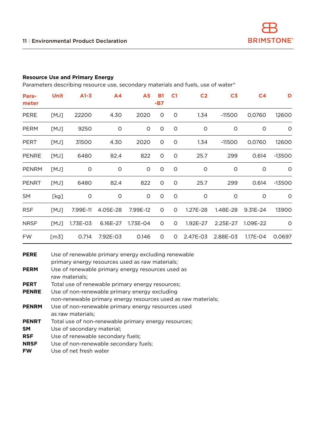#### **Resource Use and Primary Energy**

Parameters describing resource use, secondary materials and fuels, use of water\*

| Para-<br>meter | Unit | $A1-3$   | A4       | <b>A5</b> | <b>B1</b><br>$-B7$ | C <sub>1</sub> | C <sub>2</sub> | C <sub>3</sub> | C <sub>4</sub> | D        |
|----------------|------|----------|----------|-----------|--------------------|----------------|----------------|----------------|----------------|----------|
| <b>PERE</b>    | [MJ] | 22200    | 4.30     | 2020      | O                  | 0              | 1.34           | $-11500$       | 0.0760         | 12600    |
| <b>PERM</b>    | [MJ] | 9250     | O        | 0         | O                  | O              | $\circ$        | $\circ$        | $\circ$        | 0        |
| <b>PERT</b>    | [MJ] | 31500    | 4.30     | 2020      | O                  | $\circ$        | 1.34           | $-11500$       | 0.0760         | 12600    |
| <b>PENRE</b>   | [MJ] | 6480     | 82.4     | 822       | O                  | $\circ$        | 25.7           | 299            | 0.614          | $-13500$ |
| <b>PENRM</b>   | [MJ] | $\circ$  | $\circ$  | O         | O                  | $\circ$        | $\circ$        | $\circ$        | O              | $\circ$  |
| <b>PENRT</b>   | [MJ] | 6480     | 82.4     | 822       | O                  | $\circ$        | 25.7           | 299            | 0.614          | $-13500$ |
| SM             | [kg] | O        | $\circ$  | $\circ$   | $\circ$            | $\circ$        | $\circ$        | $\circ$        | $\circ$        | 0        |
| <b>RSF</b>     | [MJ] | 7.99E-11 | 4.05E-28 | 7.99E-12  | 0                  | 0              | $1.27E - 28$   | 1.48E-28       | $9.31E - 24$   | 13900    |
| <b>NRSF</b>    | [MJ] | 1.73E-03 | 6.16E-27 | 1.73E-04  | 0                  | O              | 1.92E-27       | 2.25E-27       | 1.09E-22       | $\circ$  |
| <b>FW</b>      | [m3] | 0.714    | 7.92E-03 | 0.146     | 0                  | $\circ$        | 2.47E-03       | 2.88E-03       | 1.17E-04       | 0.0697   |

| <b>PERE</b>  | Use of renewable primary energy excluding renewable<br>primary energy resources used as raw materials; |
|--------------|--------------------------------------------------------------------------------------------------------|
| <b>PERM</b>  | Use of renewable primary energy resources used as<br>raw materials:                                    |
| <b>PERT</b>  | Total use of renewable primary energy resources;                                                       |
| <b>PENRE</b> | Use of non-renewable primary energy excluding                                                          |
|              | non-renewable primary energy resources used as raw materials;                                          |
| <b>PENRM</b> | Use of non-renewable primary energy resources used                                                     |
|              | as raw materials:                                                                                      |
| <b>PENRT</b> | Total use of non-renewable primary energy resources;                                                   |
| SΜ           | Use of secondary material;                                                                             |
| <b>RSF</b>   | Use of renewable secondary fuels;                                                                      |
| <b>NRSF</b>  | Use of non-renewable secondary fuels;                                                                  |
| <b>FW</b>    | Use of net fresh water                                                                                 |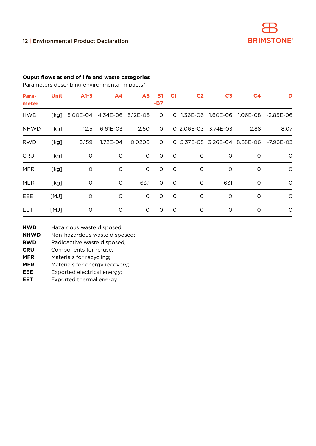#### **Ouput flows at end of life and waste categories**

Parameters describing environmental impacts\*

| Para-<br>meter | Unit | $A1-3$                          | A <sub>4</sub> | <b>A5</b> | <b>B1</b><br>-B7 | C <sub>1</sub> | C <sub>2</sub>      | C <sub>3</sub> | C <sub>4</sub> | D                                      |
|----------------|------|---------------------------------|----------------|-----------|------------------|----------------|---------------------|----------------|----------------|----------------------------------------|
| <b>HWD</b>     |      | [kg] 5.00E-04 4.34E-06 5.12E-05 |                |           | $\overline{O}$   |                |                     |                |                | 0 1.36E-06 1.60E-06 1.06E-08 -2.85E-06 |
| <b>NHWD</b>    | [kg] | 12.5                            | 6.61E-03       | 2.60      | $\circ$          |                | 0 2.06E-03 3.74E-03 |                | 2.88           | 8.07                                   |
| <b>RWD</b>     | [kg] | 0.159                           | 1.72E-04       | 0.0206    | $\circ$          |                |                     |                |                | 0 5.37E-05 3.26E-04 8.88E-06 -7.96E-03 |
| CRU            | [kg] | $\circ$                         | O              | 0         | $\circ$          | $\circ$        | 0                   | O              | O              | $\circ$                                |
| <b>MFR</b>     | [kg] | $\circ$                         | $\circ$        | 0         | $\circ$          | $\circ$        | O                   | O              | O              | $\circ$                                |
| <b>MER</b>     | [kg] | $\circ$                         | $\circ$        | 63.1      | O                | $\circ$        | O                   | 631            | O              | $\circ$                                |
| EEE            | [MJ] | O                               | $\circ$        | $\circ$   | $\circ$          | $\circ$        | O                   | O              | $\circ$        | $\circ$                                |
| <b>EET</b>     | [MJ] | O                               | O              | 0         | $\circ$          | $\circ$        | O                   | O              | $\circ$        | 0                                      |

- **HWD** Hazardous waste disposed;
- **NHWD** Non-hazardous waste disposed;
- **RWD** Radioactive waste disposed;
- **CRU** Components for re-use;
- **MFR** Materials for recycling;
- **MER** Materials for energy recovery;
- **EEE** Exported electrical energy;
- **EET** Exported thermal energy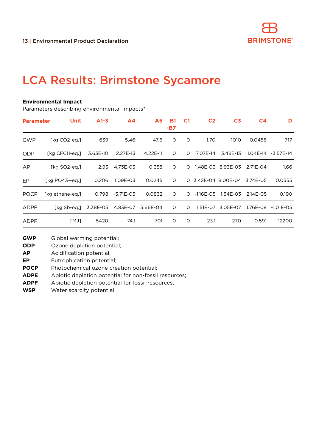### LCA Results: Brimstone Sycamore

#### **Environmental Impact**

Parameters describing environmental impacts\*

| <b>Parameter</b> | Unit              | $A1-3$   | A <sub>4</sub> | <b>A5</b> | <b>B1</b><br>-B7 | C <sub>1</sub> | C <sub>2</sub> | C <sub>3</sub>      | C <sub>4</sub> | D                     |
|------------------|-------------------|----------|----------------|-----------|------------------|----------------|----------------|---------------------|----------------|-----------------------|
| GWP              | [kg CO2-eg.]      | -639     | 5.46           | 47.6      | 0                | 0              | 1.70           | 1010                | 0.0458         | $-717$                |
| <b>ODP</b>       | [kg CFC11-eg.]    | 3.63E-10 | 2.27E-13       | 4.22E-11  | $\Omega$         | $\Omega$       | 7.07E-14       | 3.48E-13            |                | $1.04E-14 - 3.57E-14$ |
| AP               | [kg SO2-eg.]      | 2.93     | 4.73E-03       | 0.358     | $\circ$          | $\Omega$       | 1.48E-03       | 8.93E-03            | 2.71E-04       | 1.66                  |
| EP.              | $[kq P043 - eq.]$ | 0.206    | 1.09E-03       | 0.0245    | $\circ$          |                |                | 0 3.42E-04 8.00E-04 | 3.74E-05       | 0.0555                |
| <b>POCP</b>      | [kg ethene-eg.]   | 0.798    | $-3.71E - 05$  | 0.0832    | $\circ$          | $\Omega$       | $-1.16E - 0.5$ | 1.54E-03            | 2.14E-05       | 0.190                 |
| <b>ADPE</b>      | [kg Sb-eg.]       | 3.38E-05 | 4.83E-07       | 5.66E-04  | 0                | $\circ$        | $1.51E - 07$   | 3.05E-07            | 1.76E-08       | $-1.01E - 0.5$        |
| <b>ADPF</b>      | [MJ]              | 5420     | 74.1           | 701       | $\circ$          | 0              | 23.1           | 270                 | 0.591          | $-12200$              |

**GWP** Global warming potential;

**ODP** Ozone depletion potential;

**AP** Acidification potential;

**EP** Eutrophication potential;

**POCP** Photochemical ozone creation potential;

**ADPE** Abiotic depletion potential for non-fossil resources;

**ADPF** Abiotic depletion potential for fossil resources,

**WSP** Water scarcity potential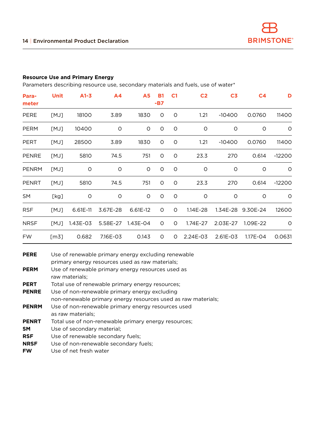#### **Resource Use and Primary Energy**

Parameters describing resource use, secondary materials and fuels, use of water\*

| Para-<br>meter | Unit | $A1-3$   | A4       | A <sub>5</sub>    | <b>B1</b><br>$-B7$ | C <sub>1</sub> | C <sub>2</sub> | C <sub>3</sub> | C <sub>4</sub>    | D        |
|----------------|------|----------|----------|-------------------|--------------------|----------------|----------------|----------------|-------------------|----------|
| <b>PERE</b>    | [MJ] | 18100    | 3.89     | 1830              | 0                  | 0              | 1.21           | $-10400$       | 0.0760            | 11400    |
| <b>PERM</b>    | [MJ] | 10400    | $\circ$  | O                 | $\circ$            | $\circ$        | $\circ$        | $\circ$        | $\circ$           | 0        |
| <b>PERT</b>    | [MJ] | 28500    | 3.89     | 1830              | $\circ$            | $\circ$        | 1.21           | $-10400$       | 0.0760            | 11400    |
| <b>PENRE</b>   | [MJ] | 5810     | 74.5     | 751               | $\circ$            | O              | 23.3           | 270            | 0.614             | $-12200$ |
| <b>PENRM</b>   | [MJ] | $\circ$  | $\circ$  | O                 | $\circ$            | $\circ$        | $\circ$        | $\circ$        | O                 | 0        |
| <b>PENRT</b>   | [MJ] | 5810     | 74.5     | 751               | $\circ$            | O              | 23.3           | 270            | 0.614             | $-12200$ |
| SM             | [kg] | $\circ$  | $\circ$  | 0                 | $\circ$            | $\circ$        | $\circ$        | $\circ$        | O                 | 0        |
| <b>RSF</b>     | [MJ] | 6.61E-11 | 3.67E-28 | 6.61E-12          | O                  | 0              | 1.14E-28       |                | 1.34E-28 9.30E-24 | 12600    |
| <b>NRSF</b>    | [MJ] | 1.43E-03 |          | 5.58E-27 1.43E-04 | $\circ$            | 0              | 1.74E-27       | 2.03E-27       | 1.09E-22          | $\circ$  |
| <b>FW</b>      | [m3] | 0.682    | 7.16E-03 | 0.143             | O                  | O              | 2.24E-03       | $2.61E - 03$   | 1.17E-04          | 0.0631   |

| <b>PERE</b>  | Use of renewable primary energy excluding renewable<br>primary energy resources used as raw materials; |
|--------------|--------------------------------------------------------------------------------------------------------|
| <b>PERM</b>  | Use of renewable primary energy resources used as<br>raw materials:                                    |
| <b>PERT</b>  | Total use of renewable primary energy resources;                                                       |
| <b>PENRE</b> | Use of non-renewable primary energy excluding                                                          |
|              | non-renewable primary energy resources used as raw materials;                                          |
| <b>PENRM</b> | Use of non-renewable primary energy resources used                                                     |
|              | as raw materials:                                                                                      |
| <b>PENRT</b> | Total use of non-renewable primary energy resources;                                                   |
| SΜ           | Use of secondary material;                                                                             |
| <b>RSF</b>   | Use of renewable secondary fuels;                                                                      |
| <b>NRSF</b>  | Use of non-renewable secondary fuels;                                                                  |
| <b>FW</b>    | Use of net fresh water                                                                                 |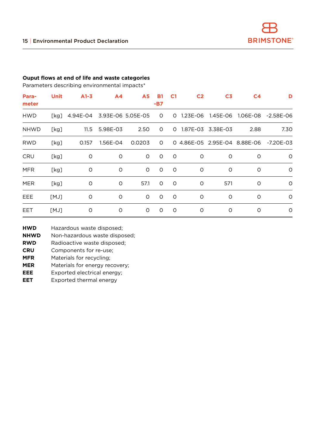#### **Ouput flows at end of life and waste categories**

Parameters describing environmental impacts\*

| Para-<br>meter | Unit | $A1-3$                     | A4       | A5      | <b>B1</b><br>-B7 | C <sub>1</sub> | C <sub>2</sub> | C <sub>3</sub>    | C <sub>4</sub> | D                                      |
|----------------|------|----------------------------|----------|---------|------------------|----------------|----------------|-------------------|----------------|----------------------------------------|
| <b>HWD</b>     | [kg] | 4.94E-04 3.93E-06 5.05E-05 |          |         | $\circ$          | $\circ$        | 1.23E-06       |                   |                |                                        |
| <b>NHWD</b>    | [kg] | 11.5                       | 5.98E-03 | 2.50    | 0                | O              |                | 1.87E-03 3.38E-03 | 2.88           | 7.30                                   |
| <b>RWD</b>     | [kg] | 0.157                      | 1.56E-04 | 0.0203  | $\circ$          |                |                |                   |                | 0 4.86E-05 2.95E-04 8.88E-06 -7.20E-03 |
| CRU            | [kg] | O                          | O        | 0       | $\circ$          | $\circ$        | O              | O                 | $\circ$        | $\circ$                                |
| <b>MFR</b>     | [kg] | O                          | O        | 0       | $\circ$          | $\circ$        | O              | O                 | $\circ$        | $\circ$                                |
| <b>MER</b>     | [kg] | O                          | O        | 57.1    | $\circ$          | $\circ$        | O              | 571               | $\circ$        | $\circ$                                |
| EEE            | [MJ] | O                          | O        | $\circ$ | $\circ$          | $\circ$        | O              | $\Omega$          | $\circ$        | $\circ$                                |
| EET            | [MJ] | $\circ$                    | $\circ$  | 0       | $\circ$          | $\circ$        | $\circ$        | O                 | O              | $\circ$                                |

- **HWD** Hazardous waste disposed;
- **NHWD** Non-hazardous waste disposed;
- **RWD** Radioactive waste disposed;
- **CRU** Components for re-use;
- **MFR** Materials for recycling;
- **MER** Materials for energy recovery;
- **EEE** Exported electrical energy;
- **EET** Exported thermal energy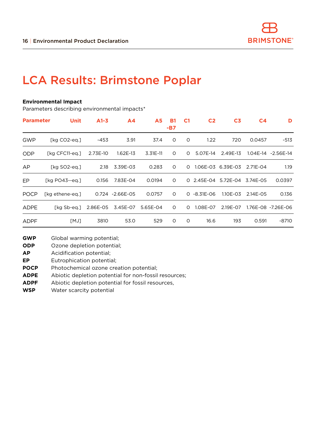### LCA Results: Brimstone Poplar

#### **Environmental Impact**

Parameters describing environmental impacts\*

| <b>Parameter</b> | <b>Unit</b>       | $A1-3$   | A <sub>4</sub>   | <b>A5</b>  | <b>B1</b><br>-B7 | C <sub>1</sub> | C <sub>2</sub> | C <sub>3</sub>      | C <sub>4</sub> | D                   |
|------------------|-------------------|----------|------------------|------------|------------------|----------------|----------------|---------------------|----------------|---------------------|
| GWP              | [kg CO2-eg.]      | -453     | 3.91             | 37.4       | $\Omega$         | 0              | 1.22           | 720                 | 0.0457         | $-513$              |
| <b>ODP</b>       | [kg CFC11-eg.]    | 2.73E-10 | 1.62E-13         | $3.31E-11$ | 0                | O              | 5.07E-14       | 2.49E-13            |                | 1.04E-14 - 2.56E-14 |
| AP               | [kg SO2-eg.]      | 2.18     | 3.39E-03         | 0.283      | $\circ$          | $\Omega$       | 1.06E-03       | 6.39E-03            | 2.71E-04       | 1.19                |
| EP.              | $[kq P043 - eq.]$ | 0.156    | 7.83E-04         | 0.0194     | $\circ$          |                |                | 0 2.45E-04 5.72E-04 | 3.74E-05       | 0.0397              |
| <b>POCP</b>      | [kg ethene-eg.]   |          | 0.724 - 2.66E-05 | 0.0757     | $\Omega$         | $\Omega$       | -8.31E-06      | 1.10E-03            | 2.14E-05       | 0.136               |
| <b>ADPE</b>      | [kg Sb-eg.]       | 2.86E-05 | 3.45E-07         | 5.65E-04   | $\circ$          | $\circ$        | 1.08E-07       | 2.19E-07            |                | 1.76E-08 -7.26E-06  |
| <b>ADPF</b>      | [MJ]              | 3810     | 53.0             | 529        | $\circ$          | $\circ$        | 16.6           | 193                 | 0.591          | $-8710$             |

**GWP** Global warming potential;

**ODP** Ozone depletion potential;

**AP** Acidification potential;

**EP** Eutrophication potential;

**POCP** Photochemical ozone creation potential;

**ADPE** Abiotic depletion potential for non-fossil resources;

**ADPF** Abiotic depletion potential for fossil resources,

**WSP** Water scarcity potential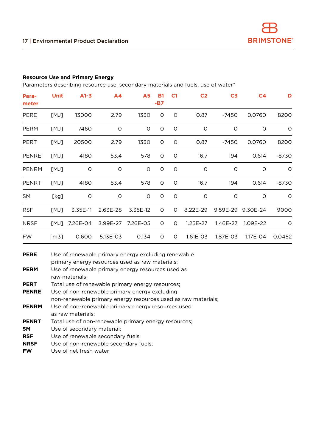#### **Resource Use and Primary Energy**

Parameters describing resource use, secondary materials and fuels, use of water\*

| Para-<br>meter | Unit | $A1-3$     | A <sub>4</sub>    | <b>A5</b> | <b>B1</b><br>-B7 | C <sub>1</sub> | C <sub>2</sub> | C <sub>3</sub> | C <sub>4</sub> | D       |
|----------------|------|------------|-------------------|-----------|------------------|----------------|----------------|----------------|----------------|---------|
| <b>PERE</b>    | [MJ] | 13000      | 2.79              | 1330      | O                | O              | 0.87           | $-7450$        | 0.0760         | 8200    |
| <b>PERM</b>    | [MJ] | 7460       | $\circ$           | 0         | O                | $\circ$        | $\circ$        | $\circ$        | $\circ$        | $\circ$ |
| <b>PERT</b>    | [MJ] | 20500      | 2.79              | 1330      | O                | $\circ$        | 0.87           | -7450          | 0.0760         | 8200    |
| <b>PENRE</b>   | [MJ] | 4180       | 53.4              | 578       | O                | $\circ$        | 16.7           | 194            | 0.614          | $-8730$ |
| <b>PENRM</b>   | [MJ] | $\circ$    | $\circ$           | O         | O                | O              | $\circ$        | O              | O              | $\circ$ |
| <b>PENRT</b>   | [MJ] | 4180       | 53.4              | 578       | O                | $\circ$        | 16.7           | 194            | 0.614          | $-8730$ |
| SM             | [kg] | O          | $\circ$           | $\circ$   | $\circ$          | $\circ$        | $\circ$        | $\circ$        | $\circ$        | 0       |
| <b>RSF</b>     | [MJ] | $3.35E-11$ | 2.63E-28          | 3.35E-12  | 0                | 0              | 8.22E-29       | 9.59E-29       | 9.30E-24       | 9000    |
| <b>NRSF</b>    | [MJ] | 7.26E-04   | 3.99E-27 7.26E-05 |           | 0                | O              | 1.25E-27       | 1.46E-27       | 1.09E-22       | $\circ$ |
| <b>FW</b>      | [m3] | 0.600      | 5.13E-03          | 0.134     | 0                | 0              | 1.61E-03       | 1.87E-03       | 1.17E-04       | 0.0452  |

| <b>PERE</b>  | Use of renewable primary energy excluding renewable           |
|--------------|---------------------------------------------------------------|
|              | primary energy resources used as raw materials;               |
| <b>PERM</b>  | Use of renewable primary energy resources used as             |
|              | raw materials:                                                |
| <b>PERT</b>  | Total use of renewable primary energy resources;              |
| <b>PENRE</b> | Use of non-renewable primary energy excluding                 |
|              | non-renewable primary energy resources used as raw materials; |
| <b>PENRM</b> | Use of non-renewable primary energy resources used            |
|              | as raw materials;                                             |
| <b>PENRT</b> | Total use of non-renewable primary energy resources;          |
| SΜ           | Use of secondary material;                                    |
| RSF          | Use of renewable secondary fuels;                             |
| <b>NRSF</b>  | Use of non-renewable secondary fuels;                         |
| FW           | Use of net fresh water                                        |
|              |                                                               |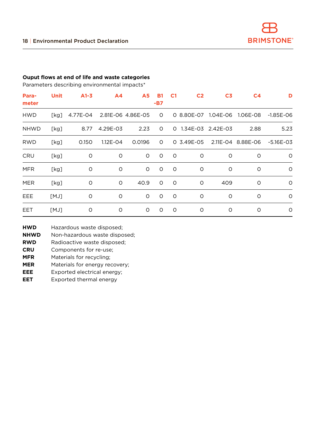#### **Ouput flows at end of life and waste categories**

Parameters describing environmental impacts\*

| Para-<br>meter | Unit | $A1-3$   | A4           | <b>A5</b>         | <b>B1</b><br>-B7 | C <sub>1</sub> | C <sub>2</sub>      | C <sub>3</sub> | C <sub>4</sub>               | D             |
|----------------|------|----------|--------------|-------------------|------------------|----------------|---------------------|----------------|------------------------------|---------------|
| <b>HWD</b>     | [kg] | 4.77E-04 |              | 2.81E-06 4.86E-05 | $\circ$          |                |                     |                | 0 8.80E-07 1.04E-06 1.06E-08 | $-1.85E - 06$ |
| <b>NHWD</b>    | [kg] | 8.77     | 4.29E-03     | 2.23              | $\circ$          |                | 0 1.34E-03 2.42E-03 |                | 2.88                         | 5.23          |
| <b>RWD</b>     | [kg] | 0.150    | $1.12E - 04$ | 0.0196            | $\circ$          |                | 0 3.49E-05          |                | 2.11E-04 8.88E-06            | $-5.16E - 03$ |
| CRU            | [kg] | $\circ$  | $\circ$      | 0                 | $\circ$          | $\circ$        | O                   | O              | O                            | $\circ$       |
| <b>MFR</b>     | [kg] | $\circ$  | $\circ$      | 0                 | $\circ$          | $\circ$        | $\circ$             | O              | $\circ$                      | $\circ$       |
| <b>MER</b>     | [kg] | $\circ$  | O            | 40.9              | $\circ$          | $\circ$        | O                   | 409            | O                            | $\circ$       |
| EEE            | [MJ] | O        | O            | 0                 | $\circ$          | $\circ$        | O                   | O              | $\circ$                      | $\circ$       |
| EET            | [MJ] | O        | O            | 0                 | 0                | $\circ$        | O                   | O              | $\circ$                      | 0             |

- **HWD** Hazardous waste disposed;
- **NHWD** Non-hazardous waste disposed;
- **RWD** Radioactive waste disposed;
- **CRU** Components for re-use;
- **MFR** Materials for recycling;
- **MER** Materials for energy recovery;
- **EEE** Exported electrical energy;
- **EET** Exported thermal energy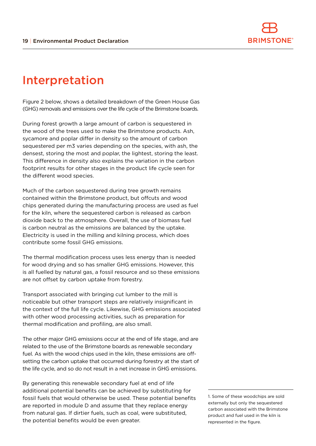

### Interpretation

Figure 2 below, shows a detailed breakdown of the Green House Gas (GHG) removals and emissions over the life cycle of the Brimstone boards.

During forest growth a large amount of carbon is sequestered in the wood of the trees used to make the Brimstone products. Ash, sycamore and poplar differ in density so the amount of carbon sequestered per m3 varies depending on the species, with ash, the densest, storing the most and poplar, the lightest, storing the least. This difference in density also explains the variation in the carbon footprint results for other stages in the product life cycle seen for the different wood species.

Much of the carbon sequestered during tree growth remains contained within the Brimstone product, but offcuts and wood chips generated during the manufacturing process are used as fuel for the kiln, where the sequestered carbon is released as carbon dioxide back to the atmosphere. Overall, the use of biomass fuel is carbon neutral as the emissions are balanced by the uptake. Electricity is used in the milling and kilning process, which does contribute some fossil GHG emissions.

The thermal modification process uses less energy than is needed for wood drying and so has smaller GHG emissions. However, this is all fuelled by natural gas, a fossil resource and so these emissions are not offset by carbon uptake from forestry.

Transport associated with bringing cut lumber to the mill is noticeable but other transport steps are relatively insignificant in the context of the full life cycle. Likewise, GHG emissions associated with other wood processing activities, such as preparation for thermal modification and profiling, are also small.

The other major GHG emissions occur at the end of life stage, and are related to the use of the Brimstone boards as renewable secondary fuel. As with the wood chips used in the kiln, these emissions are offsetting the carbon uptake that occurred during forestry at the start of the life cycle, and so do not result in a net increase in GHG emissions.

By generating this renewable secondary fuel at end of life additional potential benefits can be achieved by substituting for fossil fuels that would otherwise be used. These potential benefits are reported in module D and assume that they replace energy from natural gas. If dirtier fuels, such as coal, were substituted, the potential benefits would be even greater.

1. Some of these woodchips are sold externally but only the sequestered carbon associated with the Brimstone product and fuel used in the kiln is represented in the figure.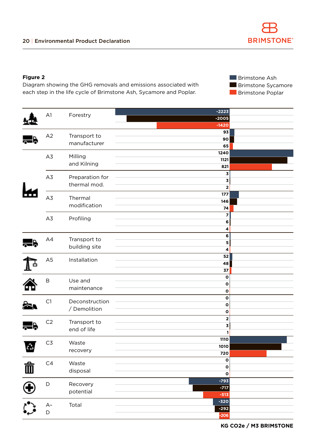#### **Figure 2**

Diagram showing the GHG removals and emissions associated with each step in the life cycle of Brimstone Ash, Sycamore and Poplar.

**Brimstone Ash Brimstone Sycamore Brimstone Poplar** 

|                    |                |                        | $-2223$                       |  |
|--------------------|----------------|------------------------|-------------------------------|--|
|                    | A1             | Forestry               | $-2005$                       |  |
|                    |                |                        | $-1420$                       |  |
|                    |                |                        | 93                            |  |
|                    | A2             | Transport to           | 90                            |  |
|                    |                | manufacturer           | 65                            |  |
|                    | A3             | Milling                | 1240                          |  |
|                    |                | and Kilning            | 1121                          |  |
|                    |                |                        | 821                           |  |
|                    | A3             | Preparation for        | 3                             |  |
|                    |                | thermal mod.           | 3                             |  |
|                    |                |                        | $\mathbf 2$                   |  |
|                    | A3             | Thermal                | 177                           |  |
|                    |                | modification           | 146                           |  |
|                    |                |                        | 74<br>$\overline{\mathbf{z}}$ |  |
|                    | A3             | Profiling              | 6                             |  |
|                    |                |                        | 4                             |  |
|                    |                |                        | $\bf 6$                       |  |
|                    | A4             | Transport to           | ${\bf 5}$                     |  |
|                    |                | building site          | $\overline{\mathbf{4}}$       |  |
|                    |                |                        | 52                            |  |
|                    | A5             | Installation           | 48                            |  |
|                    |                |                        | $37\,$                        |  |
|                    |                |                        | $\mathbf{o}$                  |  |
|                    | $\sf B$        | Use and<br>maintenance | $\mathbf{o}$                  |  |
|                    |                |                        | $\mathbf{o}$                  |  |
|                    |                | Deconstruction         | $\mathbf 0$                   |  |
|                    | C1             | / Demolition           | $\mathbf{o}$                  |  |
|                    |                |                        | $\mathbf{o}$                  |  |
|                    | C <sub>2</sub> | Transport to           | $\mathbf 2$                   |  |
|                    |                | end of life            | $\mathbf 3$                   |  |
|                    |                |                        | 1                             |  |
|                    | $C3$           | Waste                  | 1110                          |  |
| دَيْمَ             |                | recovery               | 1010                          |  |
|                    |                |                        | 720                           |  |
|                    | C4             | Waste                  | $\mathbf{o}$                  |  |
| $\vec{\mathbb{I}}$ |                | disposal               | $\mathbf 0$<br>$\mathbf 0$    |  |
|                    |                |                        | $-793$                        |  |
|                    | $\mathsf D$    | Recovery               | $-717$                        |  |
|                    |                | potential              | $-513$                        |  |
|                    |                |                        | $-320$                        |  |
|                    | $A-$           | Total                  | $-292$                        |  |
|                    | $\mathsf{D}$   |                        | $-206$                        |  |
|                    |                |                        |                               |  |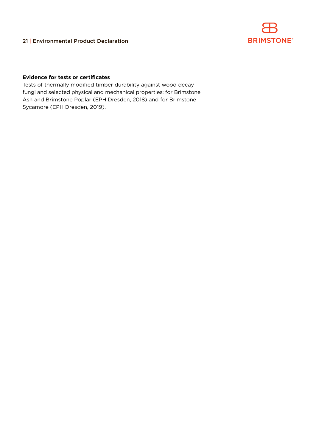

#### **Evidence for tests or certificates**

Tests of thermally modified timber durability against wood decay fungi and selected physical and mechanical properties: for Brimstone Ash and Brimstone Poplar (EPH Dresden, 2018) and for Brimstone Sycamore (EPH Dresden, 2019).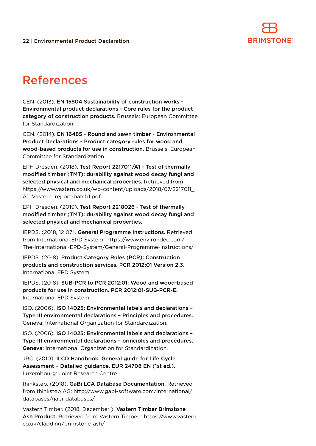

### References

CEN. (2013). EN 15804 Sustainability of construction works - Environmental product declarations - Core rules for the product category of construction products. Brussels: European Committee for Standardization.

CEN. (2014). EN 16485 - Round and sawn timber - Environmental Product Declarations - Product category rules for wood and wood-based products for use in construction. Brussels: European Committee for Standardization.

EPH Dresden. (2018). Test Report 2217011/A1 - Test of thermally modified timber (TMT): durability against wood decay fungi and selected physical and mechanical properties. Retrieved from https://www.vastern.co.uk/wp-content/uploads/2018/07/2217011\_ A1\_Vastern\_report-batch1.pdf

EPH Dresden. (2019). Test Report 2218026 - Test of thermally modified timber (TMT): durability against wood decay fungi and selected physical and mechanical properties.

IEPDS. (2018, 12 07). General Programme Instructions. Retrieved from International EPD System: https://www.environdec.com/ The-International-EPD-System/General-Programme-Instructions/

IEPDS. (2018). Product Category Rules (PCR): Construction products and construction services. PCR 2012:01 Version 2.3. International EPD System.

IEPDS. (2018). SUB-PCR to PCR 2012:01: Wood and wood-based products for use in construction. PCR 2012:01-SUB-PCR-E. International EPD System.

ISO. (2006). ISO 14025: Environmental labels and declarations – Type III environmental declarations – Principles and procedures. Geneva: International Organization for Standardization.

ISO. (2006). ISO 14025: Environmental labels and declarations – Type III environmental declarations – principles and procedures. Geneva: International Organization for Standardization.

JRC. (2010). ILCD Handbook: General guide for Life Cycle Assessment – Detailed guidance. EUR 24708 EN (1st ed.). Luxembourg: Joint Research Centre.

thinkstep. (2018). GaBi LCA Database Documentation. Retrieved from thinkstep AG: http://www.gabi-software.com/international/ databases/gabi-databases/

Vastern Timber. (2018, December ). Vastern Timber Brimstone Ash Product. Retrieved from Vastern Timber : https://www.vastern. co.uk/cladding/brimstone-ash/